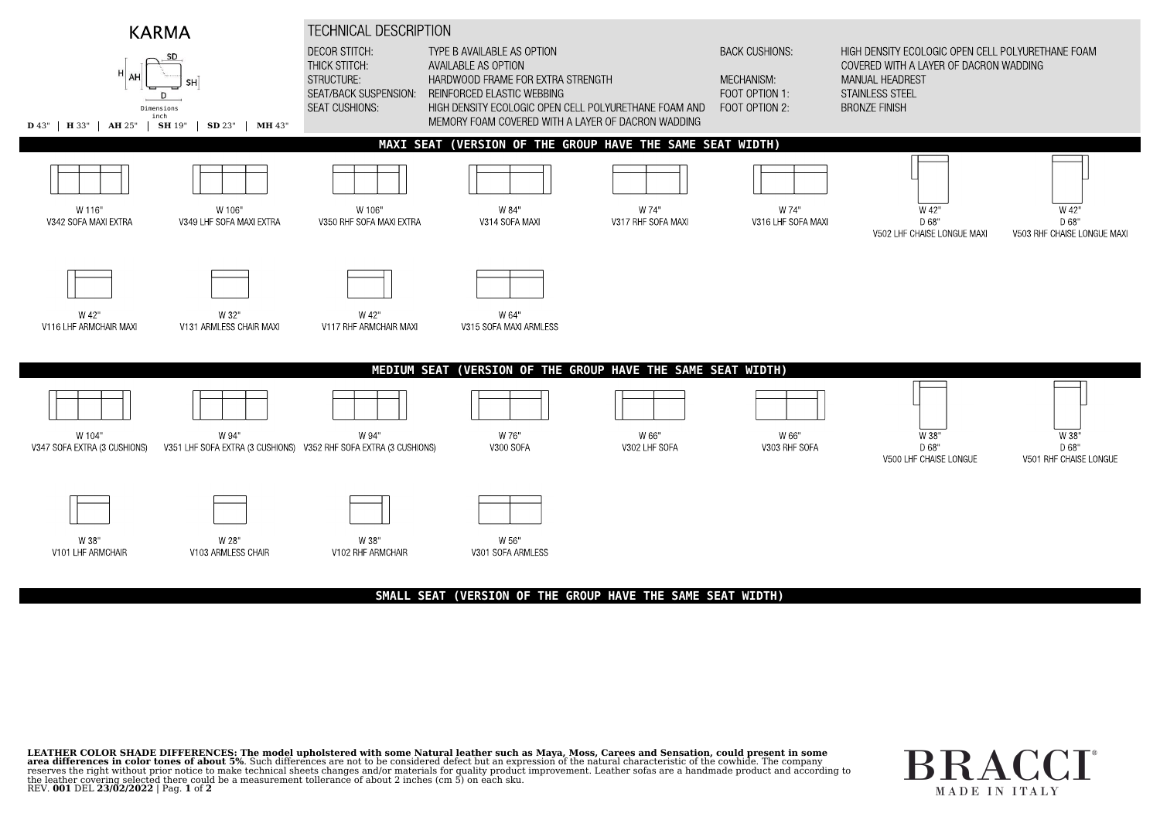

## **SMALL SEAT (VERSION OF THE GROUP HAVE THE SAME SEAT WIDTH)**

LEATHER COLOR SHADE DIFFERENCES: The model upholstered with some Natural leather such as Maya, Moss, Carees and Sensation, could present in some area differences in color tones of about 5%. Such differences are not to be considered defect but an expression of the natural characteristic of the cowhide. The company reserves the right without prior notice to make technical sheets changes and/or materials for quality product improvement. Leather sofas are a handmade product and according to the leather covering selected there could be <sup>a</sup> measurement tollerance of about <sup>2</sup> inches (cm 5) on each sku. REV. **<sup>001</sup>** DEL **23/02/2022** <sup>|</sup> Pag. **<sup>1</sup>** of **<sup>2</sup>**